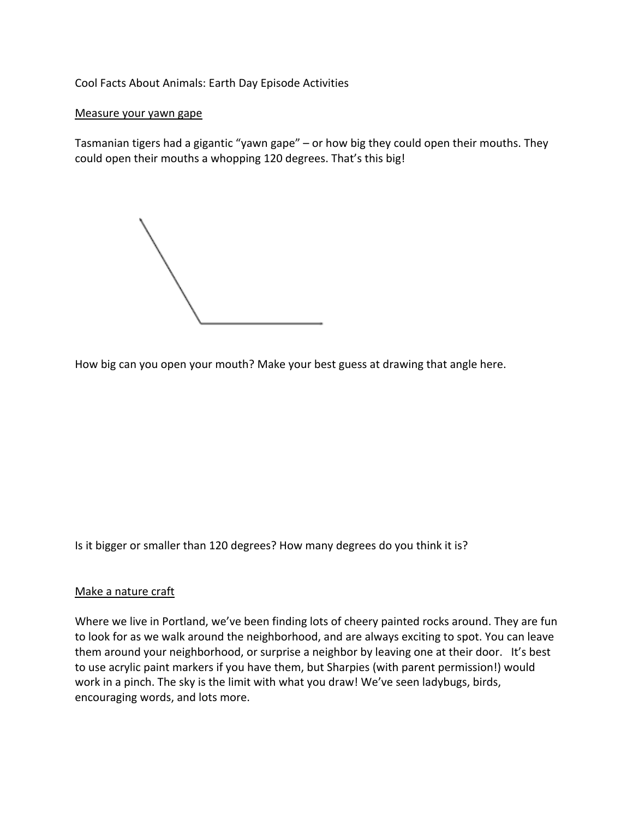Cool Facts About Animals: Earth Day Episode Activities

## Measure your yawn gape

Tasmanian tigers had a gigantic "yawn gape" – or how big they could open their mouths. They could open their mouths a whopping 120 degrees. That's this big!

How big can you open your mouth? Make your best guess at drawing that angle here.

Is it bigger or smaller than 120 degrees? How many degrees do you think it is?

## Make a nature craft

Where we live in Portland, we've been finding lots of cheery painted rocks around. They are fun to look for as we walk around the neighborhood, and are always exciting to spot. You can leave them around your neighborhood, or surprise a neighbor by leaving one at their door. It's best to use acrylic paint markers if you have them, but Sharpies (with parent permission!) would work in a pinch. The sky is the limit with what you draw! We've seen ladybugs, birds, encouraging words, and lots more.